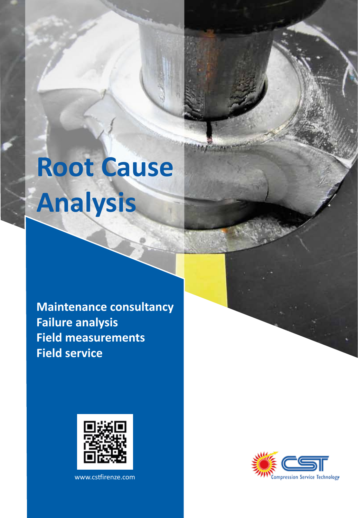# **Root Cause Analysis**

**Maintenance consultancy Failure analysis Field measurements Field service**



www.cstirenze.com

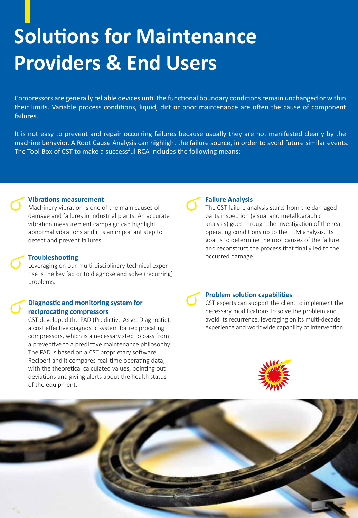### **Solutions for Maintenance Providers & End Users**

Compressors are generally reliable devices until the functional boundary conditions remain unchanged or within their limits. Variable process conditions, liquid, dirt or poor maintenance are often the cause of component failures.

It is not easy to prevent and repair occurring failures because usually they are not manifested clearly by the machine behavior. A Root Cause Analysis can highlight the failure source, in order to avoid future similar events. The Tool Box of CST to make a successful RCA includes the following means:

#### **Vibrations measurement**

Machinery vibration is one of the main causes of damage and failures in industrial plants. An accurate vibration measurement campaign can highlight abnormal vibrations and it is an important step to detect and prevent failures.

Leveraging on our multi-disciplinary technical expertise is the key factor to diagnose and solve (recurring) problems.

#### **Diagnostic and monitoring system for reciprocating compressors**

CST developed the PAD (Predictive Asset Diagnostic), a cost effective diagnostic system for reciprocating compressors, which is a necessary step to pass from a preventive to a predictive maintenance philosophy. The PAD is based on a CST proprietary software Reciperf and it compares real-time operating data. with the theoretical calculated values, pointing out deviations and giving alerts about the health status of the equipment.

#### **Failure Analysis**

The CST failure analysis starts from the damaged parts inspection (visual and metallographic analysis) goes through the investigation of the real operating conditions up to the FEM analysis. Its goal is to determine the root causes of the failure and reconstruct the process that finally led to the **Troubleshooting occurred damage.** 

#### **Problem solution capabilities**

CST experts can support the client to implement the necessary modifications to solve the problem and avoid its recurrence, leveraging on its mult-decade experience and worldwide capability of intervention.



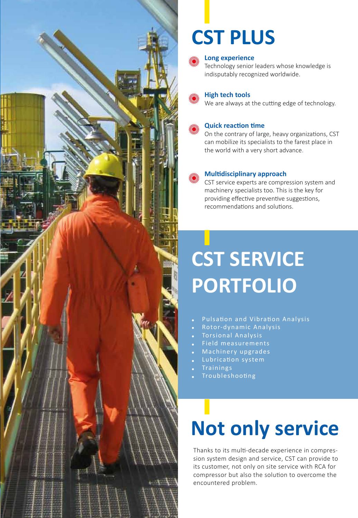

### **CST PLUS**



#### **Long experience**

Technology senior leaders whose knowledge is indisputably recognized worldwide.

#### **High tech tools**

We are always at the cutting edge of technology.



#### **Quick reaction time**

On the contrary of large, heavy organizations, CST can mobilize its specialists to the farest place in the world with a very short advance.

#### **Multidisciplinary approach**

CST service experts are compression system and machinery specialists too. This is the key for providing effective preventive suggestions, recommendations and solutions.

## **CST SERVICE PORTFOLIO**

- Pulsaton and Vibraton Analysis
- Rotor-dynamic Analysis
- Torsional Analysis
- Field measurements
- Machinery upgrades
- Lubricaton system
- **Trainings**
- **Troubleshooting**

# **Not only service**

Thanks to its mult-decade experience in compression system design and service, CST can provide to its customer, not only on site service with RCA for compressor but also the solution to overcome the encountered problem.